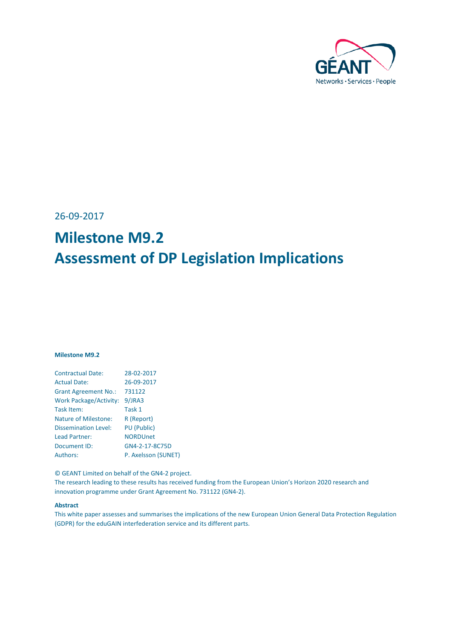

26-09-2017

# **Milestone M9.2 Assessment of DP Legislation Implications**

#### **Milestone M9.2**

| <b>Contractual Date:</b>      | 28-02-2017          |
|-------------------------------|---------------------|
| <b>Actual Date:</b>           | 26-09-2017          |
| <b>Grant Agreement No.:</b>   | 731122              |
| <b>Work Package/Activity:</b> | 9/JRA3              |
| Task Item:                    | Task 1              |
| <b>Nature of Milestone:</b>   | R (Report)          |
| <b>Dissemination Level:</b>   | PU (Public)         |
| <b>Lead Partner:</b>          | <b>NORDUnet</b>     |
| Document ID:                  | GN4-2-17-8C75D      |
| Authors:                      | P. Axelsson (SUNET) |
|                               |                     |

© GEANT Limited on behalf of the GN4-2 project.

The research leading to these results has received funding from the European Union's Horizon 2020 research and innovation programme under Grant Agreement No. 731122 (GN4-2).

#### **Abstract**

This white paper assesses and summarises the implications of the new European Union General Data Protection Regulation (GDPR) for the eduGAIN interfederation service and its different parts.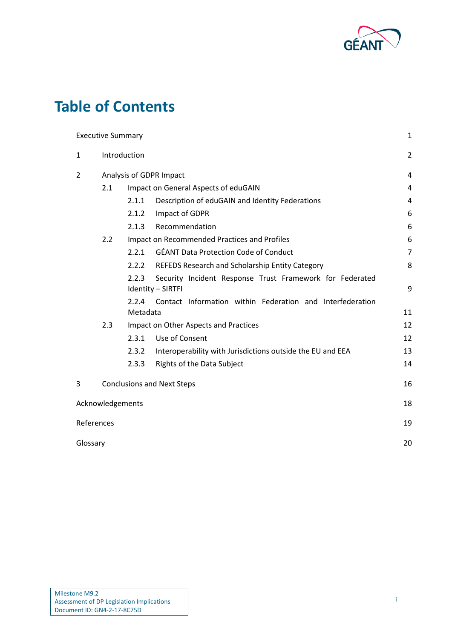

## **Table of Contents**

|              | <b>Executive Summary</b>          |                                      |                                                                               | 1              |
|--------------|-----------------------------------|--------------------------------------|-------------------------------------------------------------------------------|----------------|
| $\mathbf{1}$ | Introduction                      |                                      |                                                                               | $\overline{2}$ |
| 2            | Analysis of GDPR Impact           |                                      |                                                                               | 4              |
|              | 2.1                               | Impact on General Aspects of eduGAIN |                                                                               | 4              |
|              |                                   | 2.1.1                                | Description of eduGAIN and Identity Federations                               | 4              |
|              |                                   | 2.1.2                                | Impact of GDPR                                                                | 6              |
|              |                                   | 2.1.3                                | Recommendation                                                                | 6              |
| 2.2          |                                   |                                      | Impact on Recommended Practices and Profiles                                  | 6              |
|              |                                   | 2.2.1                                | <b>GÉANT Data Protection Code of Conduct</b>                                  | $\overline{7}$ |
|              |                                   | 2.2.2                                | REFEDS Research and Scholarship Entity Category                               | 8              |
|              |                                   | 2.2.3                                | Security Incident Response Trust Framework for Federated<br>Identity - SIRTFI | 9              |
|              |                                   | 2.2.4<br>Metadata                    | Contact Information within Federation and Interfederation                     | 11             |
| 2.3          |                                   |                                      | Impact on Other Aspects and Practices                                         | 12             |
|              |                                   | 2.3.1                                | Use of Consent                                                                | 12             |
|              |                                   | 2.3.2                                | Interoperability with Jurisdictions outside the EU and EEA                    | 13             |
|              |                                   | 2.3.3                                | Rights of the Data Subject                                                    | 14             |
| 3            | <b>Conclusions and Next Steps</b> |                                      | 16                                                                            |                |
|              | Acknowledgements                  |                                      |                                                                               | 18             |
| References   |                                   |                                      |                                                                               | 19             |
| Glossary     |                                   |                                      |                                                                               | 20             |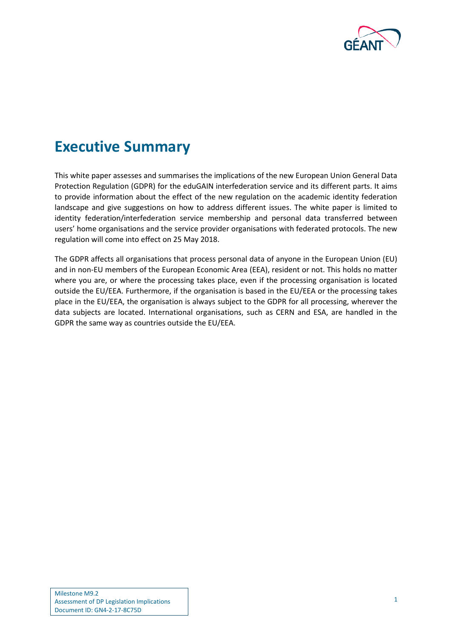

## <span id="page-2-0"></span>**Executive Summary**

This white paper assesses and summarises the implications of the new European Union General Data Protection Regulation (GDPR) for the eduGAIN interfederation service and its different parts. It aims to provide information about the effect of the new regulation on the academic identity federation landscape and give suggestions on how to address different issues. The white paper is limited to identity federation/interfederation service membership and personal data transferred between users' home organisations and the service provider organisations with federated protocols. The new regulation will come into effect on 25 May 2018.

The GDPR affects all organisations that process personal data of anyone in the European Union (EU) and in non-EU members of the European Economic Area (EEA), resident or not. This holds no matter where you are, or where the processing takes place, even if the processing organisation is located outside the EU/EEA. Furthermore, if the organisation is based in the EU/EEA or the processing takes place in the EU/EEA, the organisation is always subject to the GDPR for all processing, wherever the data subjects are located. International organisations, such as CERN and ESA, are handled in the GDPR the same way as countries outside the EU/EEA.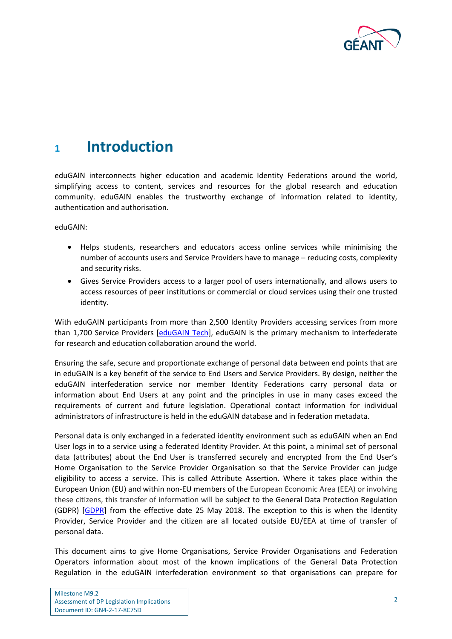

## <span id="page-3-0"></span>**<sup>1</sup> Introduction**

eduGAIN interconnects higher education and academic Identity Federations around the world, simplifying access to content, services and resources for the global research and education community. eduGAIN enables the trustworthy exchange of information related to identity, authentication and authorisation.

eduGAIN:

- Helps students, researchers and educators access online services while minimising the number of accounts users and Service Providers have to manage – reducing costs, complexity and security risks.
- Gives Service Providers access to a larger pool of users internationally, and allows users to access resources of peer institutions or commercial or cloud services using their one trusted identity.

With eduGAIN participants from more than 2,500 Identity Providers accessing services from more than 1,700 Service Providers [\[eduGAIN Tech\]](#page-20-1), eduGAIN is the primary mechanism to interfederate for research and education collaboration around the world.

Ensuring the safe, secure and proportionate exchange of personal data between end points that are in eduGAIN is a key benefit of the service to End Users and Service Providers. By design, neither the eduGAIN interfederation service nor member Identity Federations carry personal data or information about End Users at any point and the principles in use in many cases exceed the requirements of current and future legislation. Operational contact information for individual administrators of infrastructure is held in the eduGAIN database and in federation metadata.

Personal data is only exchanged in a federated identity environment such as eduGAIN when an End User logs in to a service using a federated Identity Provider. At this point, a minimal set of personal data (attributes) about the End User is transferred securely and encrypted from the End User's Home Organisation to the Service Provider Organisation so that the Service Provider can judge eligibility to access a service. This is called Attribute Assertion. Where it takes place within the European Union (EU) and within non-EU members of the European Economic Area (EEA) or involving these citizens, this transfer of information will be subject to the General Data Protection Regulation (GDPR) [\[GDPR\]](#page-20-2) from the effective date 25 May 2018. The exception to this is when the Identity Provider, Service Provider and the citizen are all located outside EU/EEA at time of transfer of personal data.

This document aims to give Home Organisations, Service Provider Organisations and Federation Operators information about most of the known implications of the General Data Protection Regulation in the eduGAIN interfederation environment so that organisations can prepare for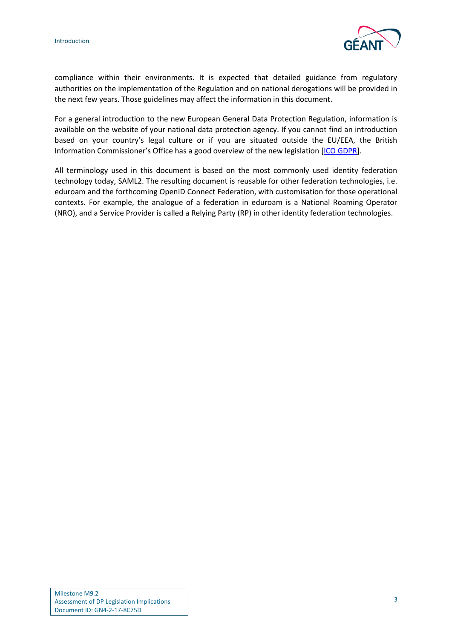

compliance within their environments. It is expected that detailed guidance from regulatory authorities on the implementation of the Regulation and on national derogations will be provided in the next few years. Those guidelines may affect the information in this document.

For a general introduction to the new European General Data Protection Regulation, information is available on the website of your national data protection agency. If you cannot find an introduction based on your country's legal culture or if you are situated outside the EU/EEA, the British Information Commissioner's Office has a good overview of the new legislation [\[ICO GDPR\]](#page-20-3).

All terminology used in this document is based on the most commonly used identity federation technology today, SAML2. The resulting document is reusable for other federation technologies, i.e. eduroam and the forthcoming OpenID Connect Federation, with customisation for those operational contexts. For example, the analogue of a federation in eduroam is a National Roaming Operator (NRO), and a Service Provider is called a Relying Party (RP) in other identity federation technologies.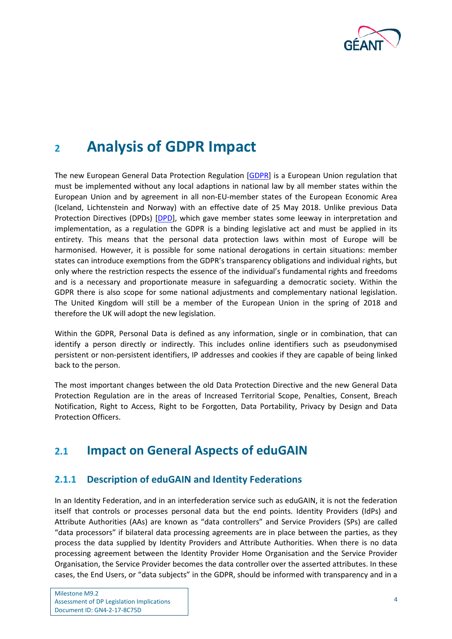

## <span id="page-5-0"></span>**<sup>2</sup> Analysis of GDPR Impact**

The new European General Data Protection Regulation [\[GDPR\]](#page-20-2) is a European Union regulation that must be implemented without any local adaptions in national law by all member states within the European Union and by agreement in all non-EU-member states of the European Economic Area (Iceland, Lichtenstein and Norway) with an effective date of 25 May 2018. Unlike previous Data Protection Directives (DPDs) [\[DPD\]](#page-20-4), which gave member states some leeway in interpretation and implementation, as a regulation the GDPR is a binding legislative act and must be applied in its entirety. This means that the personal data protection laws within most of Europe will be harmonised. However, it is possible for some national derogations in certain situations: member states can introduce exemptions from the GDPR's transparency obligations and individual rights, but only where the restriction respects the essence of the individual's fundamental rights and freedoms and is a necessary and proportionate measure in safeguarding a democratic society. Within the GDPR there is also scope for some national adjustments and complementary national legislation. The United Kingdom will still be a member of the European Union in the spring of 2018 and therefore the UK will adopt the new legislation.

Within the GDPR, Personal Data is defined as any information, single or in combination, that can identify a person directly or indirectly. This includes online identifiers such as pseudonymised persistent or non-persistent identifiers, IP addresses and cookies if they are capable of being linked back to the person.

The most important changes between the old Data Protection Directive and the new General Data Protection Regulation are in the areas of Increased Territorial Scope, Penalties, Consent, Breach Notification, Right to Access, Right to be Forgotten, Data Portability, Privacy by Design and Data Protection Officers.

## <span id="page-5-1"></span>**2.1 Impact on General Aspects of eduGAIN**

## <span id="page-5-2"></span>**2.1.1 Description of eduGAIN and Identity Federations**

In an Identity Federation, and in an interfederation service such as eduGAIN, it is not the federation itself that controls or processes personal data but the end points. Identity Providers (IdPs) and Attribute Authorities (AAs) are known as "data controllers" and Service Providers (SPs) are called "data processors" if bilateral data processing agreements are in place between the parties, as they process the data supplied by Identity Providers and Attribute Authorities. When there is no data processing agreement between the Identity Provider Home Organisation and the Service Provider Organisation, the Service Provider becomes the data controller over the asserted attributes. In these cases, the End Users, or "data subjects" in the GDPR, should be informed with transparency and in a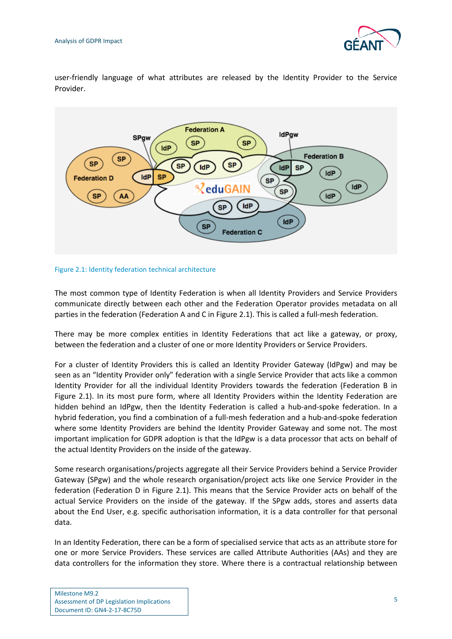

user-friendly language of what attributes are released by the Identity Provider to the Service Provider.



#### Figure 2.1: Identity federation technical architecture

The most common type of Identity Federation is when all Identity Providers and Service Providers communicate directly between each other and the Federation Operator provides metadata on all parties in the federation (Federation A and C in Figure 2.1). This is called a full-mesh federation.

There may be more complex entities in Identity Federations that act like a gateway, or proxy, between the federation and a cluster of one or more Identity Providers or Service Providers.

For a cluster of Identity Providers this is called an Identity Provider Gateway (IdPgw) and may be seen as an "Identity Provider only" federation with a single Service Provider that acts like a common Identity Provider for all the individual Identity Providers towards the federation (Federation B in Figure 2.1). In its most pure form, where all Identity Providers within the Identity Federation are hidden behind an IdPgw, then the Identity Federation is called a hub-and-spoke federation. In a hybrid federation, you find a combination of a full-mesh federation and a hub-and-spoke federation where some Identity Providers are behind the Identity Provider Gateway and some not. The most important implication for GDPR adoption is that the IdPgw is a data processor that acts on behalf of the actual Identity Providers on the inside of the gateway.

Some research organisations/projects aggregate all their Service Providers behind a Service Provider Gateway (SPgw) and the whole research organisation/project acts like one Service Provider in the federation (Federation D in Figure 2.1). This means that the Service Provider acts on behalf of the actual Service Providers on the inside of the gateway. If the SPgw adds, stores and asserts data about the End User, e.g. specific authorisation information, it is a data controller for that personal data.

In an Identity Federation, there can be a form of specialised service that acts as an attribute store for one or more Service Providers. These services are called Attribute Authorities (AAs) and they are data controllers for the information they store. Where there is a contractual relationship between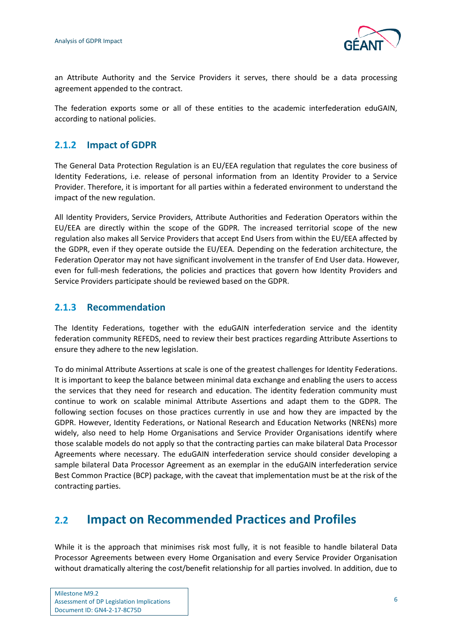

an Attribute Authority and the Service Providers it serves, there should be a data processing agreement appended to the contract.

The federation exports some or all of these entities to the academic interfederation eduGAIN, according to national policies.

## <span id="page-7-0"></span>**2.1.2 Impact of GDPR**

The General Data Protection Regulation is an EU/EEA regulation that regulates the core business of Identity Federations, i.e. release of personal information from an Identity Provider to a Service Provider. Therefore, it is important for all parties within a federated environment to understand the impact of the new regulation.

All Identity Providers, Service Providers, Attribute Authorities and Federation Operators within the EU/EEA are directly within the scope of the GDPR. The increased territorial scope of the new regulation also makes all Service Providers that accept End Users from within the EU/EEA affected by the GDPR, even if they operate outside the EU/EEA. Depending on the federation architecture, the Federation Operator may not have significant involvement in the transfer of End User data. However, even for full-mesh federations, the policies and practices that govern how Identity Providers and Service Providers participate should be reviewed based on the GDPR.

## <span id="page-7-1"></span>**2.1.3 Recommendation**

The Identity Federations, together with the eduGAIN interfederation service and the identity federation community REFEDS, need to review their best practices regarding Attribute Assertions to ensure they adhere to the new legislation.

To do minimal Attribute Assertions at scale is one of the greatest challenges for Identity Federations. It is important to keep the balance between minimal data exchange and enabling the users to access the services that they need for research and education. The identity federation community must continue to work on scalable minimal Attribute Assertions and adapt them to the GDPR. The following section focuses on those practices currently in use and how they are impacted by the GDPR. However, Identity Federations, or National Research and Education Networks (NRENs) more widely, also need to help Home Organisations and Service Provider Organisations identify where those scalable models do not apply so that the contracting parties can make bilateral Data Processor Agreements where necessary. The eduGAIN interfederation service should consider developing a sample bilateral Data Processor Agreement as an exemplar in the eduGAIN interfederation service Best Common Practice (BCP) package, with the caveat that implementation must be at the risk of the contracting parties.

## <span id="page-7-2"></span>**2.2 Impact on Recommended Practices and Profiles**

While it is the approach that minimises risk most fully, it is not feasible to handle bilateral Data Processor Agreements between every Home Organisation and every Service Provider Organisation without dramatically altering the cost/benefit relationship for all parties involved. In addition, due to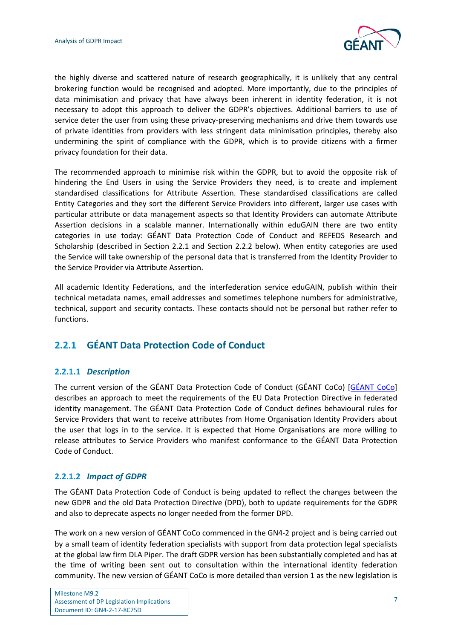

the highly diverse and scattered nature of research geographically, it is unlikely that any central brokering function would be recognised and adopted. More importantly, due to the principles of data minimisation and privacy that have always been inherent in identity federation, it is not necessary to adopt this approach to deliver the GDPR's objectives. Additional barriers to use of service deter the user from using these privacy-preserving mechanisms and drive them towards use of private identities from providers with less stringent data minimisation principles, thereby also undermining the spirit of compliance with the GDPR, which is to provide citizens with a firmer privacy foundation for their data.

The recommended approach to minimise risk within the GDPR, but to avoid the opposite risk of hindering the End Users in using the Service Providers they need, is to create and implement standardised classifications for Attribute Assertion. These standardised classifications are called Entity Categories and they sort the different Service Providers into different, larger use cases with particular attribute or data management aspects so that Identity Providers can automate Attribute Assertion decisions in a scalable manner. Internationally within eduGAIN there are two entity categories in use today: GÉANT Data Protection Code of Conduct and REFEDS Research and Scholarship (described in Section 2.2.1 and Section 2.2.2 below). When entity categories are used the Service will take ownership of the personal data that is transferred from the Identity Provider to the Service Provider via Attribute Assertion.

All academic Identity Federations, and the interfederation service eduGAIN, publish within their technical metadata names, email addresses and sometimes telephone numbers for administrative, technical, support and security contacts. These contacts should not be personal but rather refer to functions.

## <span id="page-8-0"></span>**2.2.1 GÉANT Data Protection Code of Conduct**

### **2.2.1.1** *Description*

The current version of the GÉANT Data Protection Code of Conduct (GÉANT CoCo) [\[GÉANT CoCo\]](#page-20-5) describes an approach to meet the requirements of the EU Data Protection Directive in federated identity management. The GÉANT Data Protection Code of Conduct defines behavioural rules for Service Providers that want to receive attributes from Home Organisation Identity Providers about the user that logs in to the service. It is expected that Home Organisations are more willing to release attributes to Service Providers who manifest conformance to the GÉANT Data Protection Code of Conduct.

### **2.2.1.2** *Impact of GDPR*

The GÉANT Data Protection Code of Conduct is being updated to reflect the changes between the new GDPR and the old Data Protection Directive (DPD), both to update requirements for the GDPR and also to deprecate aspects no longer needed from the former DPD.

The work on a new version of GÉANT CoCo commenced in the GN4-2 project and is being carried out by a small team of identity federation specialists with support from data protection legal specialists at the global law firm DLA Piper. The draft GDPR version has been substantially completed and has at the time of writing been sent out to consultation within the international identity federation community. The new version of GÉANT CoCo is more detailed than version 1 as the new legislation is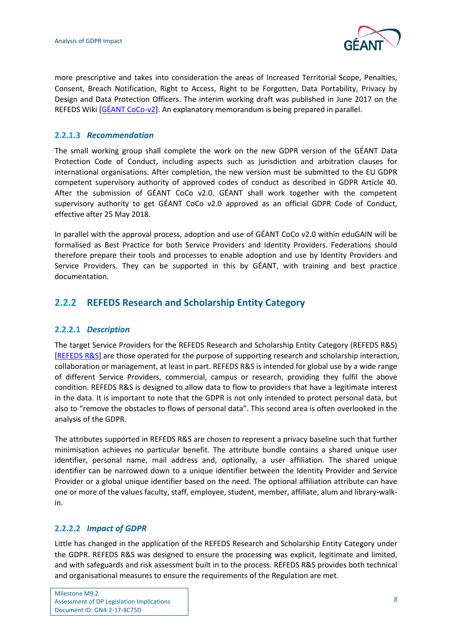

more prescriptive and takes into consideration the areas of Increased Territorial Scope, Penalties, Consent, Breach Notification, Right to Access, Right to be Forgotten, Data Portability, Privacy by Design and Data Protection Officers. The interim working draft was published in June 2017 on the REFEDS Wiki  $[GEANT COCo-V2]$ . An explanatory memorandum is being prepared in parallel.

### **2.2.1.3** *Recommendation*

The small working group shall complete the work on the new GDPR version of the GÉANT Data Protection Code of Conduct, including aspects such as jurisdiction and arbitration clauses for international organisations. After completion, the new version must be submitted to the EU GDPR competent supervisory authority of approved codes of conduct as described in GDPR Article 40. After the submission of GÉANT CoCo v2.0. GÉANT shall work together with the competent supervisory authority to get GÉANT CoCo v2.0 approved as an official GDPR Code of Conduct, effective after 25 May 2018.

In parallel with the approval process, adoption and use of GÉANT CoCo v2.0 within eduGAIN will be formalised as Best Practice for both Service Providers and Identity Providers. Federations should therefore prepare their tools and processes to enable adoption and use by Identity Providers and Service Providers. They can be supported in this by GÉANT, with training and best practice documentation.

## <span id="page-9-0"></span>**2.2.2 REFEDS Research and Scholarship Entity Category**

#### **2.2.2.1** *Description*

The target Service Providers for the REFEDS Research and Scholarship Entity Category (REFEDS R&S) [\[REFEDS R&S\]](#page-20-7) are those operated for the purpose of supporting research and scholarship interaction, collaboration or management, at least in part. REFEDS R&S is intended for global use by a wide range of different Service Providers, commercial, campus or research, providing they fulfil the above condition. REFEDS R&S is designed to allow data to flow to providers that have a legitimate interest in the data. It is important to note that the GDPR is not only intended to protect personal data, but also to "remove the obstacles to flows of personal data". This second area is often overlooked in the analysis of the GDPR.

The attributes supported in REFEDS R&S are chosen to represent a privacy baseline such that further minimisation achieves no particular benefit. The attribute bundle contains a shared unique user identifier, personal name, mail address and, optionally, a user affiliation. The shared unique identifier can be narrowed down to a unique identifier between the Identity Provider and Service Provider or a global unique identifier based on the need. The optional affiliation attribute can have one or more of the values faculty, staff, employee, student, member, affiliate, alum and library-walkin.

### **2.2.2.2** *Impact of GDPR*

Little has changed in the application of the REFEDS Research and Scholarship Entity Category under the GDPR. REFEDS R&S was designed to ensure the processing was explicit, legitimate and limited, and with safeguards and risk assessment built in to the process. REFEDS R&S provides both technical and organisational measures to ensure the requirements of the Regulation are met.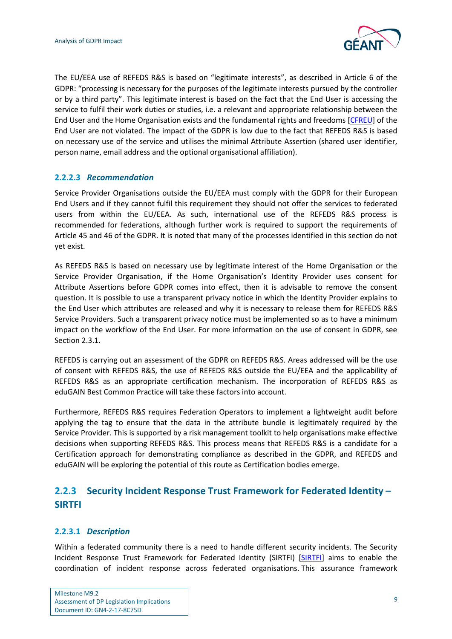

The EU/EEA use of REFEDS R&S is based on "legitimate interests", as described in Article 6 of the GDPR: "processing is necessary for the purposes of the legitimate interests pursued by the controller or by a third party". This legitimate interest is based on the fact that the End User is accessing the service to fulfil their work duties or studies, i.e. a relevant and appropriate relationship between the End User and the Home Organisation exists and the fundamental rights and freedoms [\[CFREU\]](#page-20-8) of the End User are not violated. The impact of the GDPR is low due to the fact that REFEDS R&S is based on necessary use of the service and utilises the minimal Attribute Assertion (shared user identifier, person name, email address and the optional organisational affiliation).

## **2.2.2.3** *Recommendation*

Service Provider Organisations outside the EU/EEA must comply with the GDPR for their European End Users and if they cannot fulfil this requirement they should not offer the services to federated users from within the EU/EEA. As such, international use of the REFEDS R&S process is recommended for federations, although further work is required to support the requirements of Article 45 and 46 of the GDPR. It is noted that many of the processes identified in this section do not yet exist.

As REFEDS R&S is based on necessary use by legitimate interest of the Home Organisation or the Service Provider Organisation, if the Home Organisation's Identity Provider uses consent for Attribute Assertions before GDPR comes into effect, then it is advisable to remove the consent question. It is possible to use a transparent privacy notice in which the Identity Provider explains to the End User which attributes are released and why it is necessary to release them for REFEDS R&S Service Providers. Such a transparent privacy notice must be implemented so as to have a minimum impact on the workflow of the End User. For more information on the use of consent in GDPR, see Section 2.3.1.

REFEDS is carrying out an assessment of the GDPR on REFEDS R&S. Areas addressed will be the use of consent with REFEDS R&S, the use of REFEDS R&S outside the EU/EEA and the applicability of REFEDS R&S as an appropriate certification mechanism. The incorporation of REFEDS R&S as eduGAIN Best Common Practice will take these factors into account.

Furthermore, REFEDS R&S requires Federation Operators to implement a lightweight audit before applying the tag to ensure that the data in the attribute bundle is legitimately required by the Service Provider. This is supported by a risk management toolkit to help organisations make effective decisions when supporting REFEDS R&S. This process means that REFEDS R&S is a candidate for a Certification approach for demonstrating compliance as described in the GDPR, and REFEDS and eduGAIN will be exploring the potential of this route as Certification bodies emerge.

## <span id="page-10-0"></span>**2.2.3 Security Incident Response Trust Framework for Federated Identity – SIRTFI**

### **2.2.3.1** *Description*

Within a federated community there is a need to handle different security incidents. The Security Incident Response Trust Framework for Federated Identity (SIRTFI) [\[SIRTFI\]](#page-20-9) aims to enable the coordination of incident response across federated organisations. This assurance framework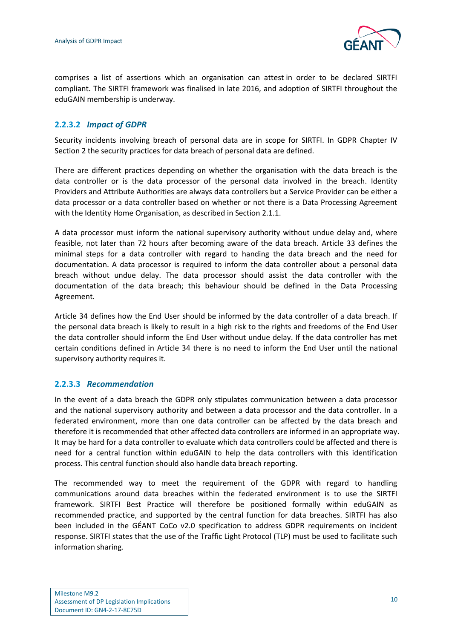

comprises a list of assertions which an organisation can attest in order to be declared SIRTFI compliant. The SIRTFI framework was finalised in late 2016, and adoption of SIRTFI throughout the eduGAIN membership is underway.

## **2.2.3.2** *Impact of GDPR*

Security incidents involving breach of personal data are in scope for SIRTFI. In GDPR Chapter IV Section 2 the security practices for data breach of personal data are defined.

There are different practices depending on whether the organisation with the data breach is the data controller or is the data processor of the personal data involved in the breach. Identity Providers and Attribute Authorities are always data controllers but a Service Provider can be either a data processor or a data controller based on whether or not there is a Data Processing Agreement with the Identity Home Organisation, as described in Section 2.1.1.

A data processor must inform the national supervisory authority without undue delay and, where feasible, not later than 72 hours after becoming aware of the data breach. Article 33 defines the minimal steps for a data controller with regard to handing the data breach and the need for documentation. A data processor is required to inform the data controller about a personal data breach without undue delay. The data processor should assist the data controller with the documentation of the data breach; this behaviour should be defined in the Data Processing Agreement.

Article 34 defines how the End User should be informed by the data controller of a data breach. If the personal data breach is likely to result in a high risk to the rights and freedoms of the End User the data controller should inform the End User without undue delay. If the data controller has met certain conditions defined in Article 34 there is no need to inform the End User until the national supervisory authority requires it.

### **2.2.3.3** *Recommendation*

In the event of a data breach the GDPR only stipulates communication between a data processor and the national supervisory authority and between a data processor and the data controller. In a federated environment, more than one data controller can be affected by the data breach and therefore it is recommended that other affected data controllers are informed in an appropriate way. It may be hard for a data controller to evaluate which data controllers could be affected and there is need for a central function within eduGAIN to help the data controllers with this identification process. This central function should also handle data breach reporting.

The recommended way to meet the requirement of the GDPR with regard to handling communications around data breaches within the federated environment is to use the SIRTFI framework. SIRTFI Best Practice will therefore be positioned formally within eduGAIN as recommended practice, and supported by the central function for data breaches. SIRTFI has also been included in the GÉANT CoCo v2.0 specification to address GDPR requirements on incident response. SIRTFI states that the use of the Traffic Light Protocol (TLP) must be used to facilitate such information sharing.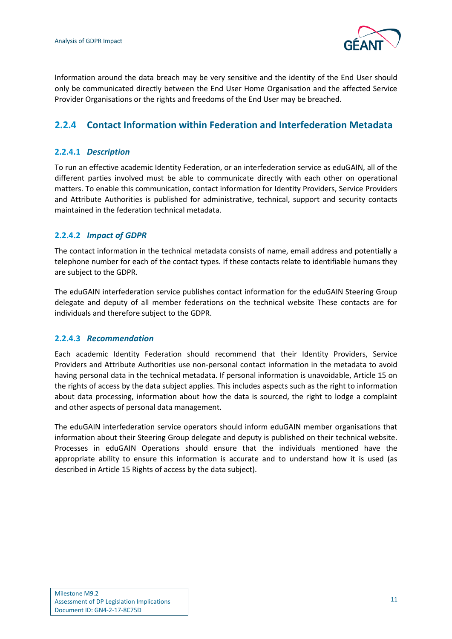

Information around the data breach may be very sensitive and the identity of the End User should only be communicated directly between the End User Home Organisation and the affected Service Provider Organisations or the rights and freedoms of the End User may be breached.

## <span id="page-12-0"></span>**2.2.4 Contact Information within Federation and Interfederation Metadata**

### **2.2.4.1** *Description*

To run an effective academic Identity Federation, or an interfederation service as eduGAIN, all of the different parties involved must be able to communicate directly with each other on operational matters. To enable this communication, contact information for Identity Providers, Service Providers and Attribute Authorities is published for administrative, technical, support and security contacts maintained in the federation technical metadata.

## **2.2.4.2** *Impact of GDPR*

The contact information in the technical metadata consists of name, email address and potentially a telephone number for each of the contact types. If these contacts relate to identifiable humans they are subject to the GDPR.

The eduGAIN interfederation service publishes contact information for the eduGAIN Steering Group delegate and deputy of all member federations on the technical website These contacts are for individuals and therefore subject to the GDPR.

### **2.2.4.3** *Recommendation*

Each academic Identity Federation should recommend that their Identity Providers, Service Providers and Attribute Authorities use non-personal contact information in the metadata to avoid having personal data in the technical metadata. If personal information is unavoidable, Article 15 on the rights of access by the data subject applies. This includes aspects such as the right to information about data processing, information about how the data is sourced, the right to lodge a complaint and other aspects of personal data management.

The eduGAIN interfederation service operators should inform eduGAIN member organisations that information about their Steering Group delegate and deputy is published on their technical website. Processes in eduGAIN Operations should ensure that the individuals mentioned have the appropriate ability to ensure this information is accurate and to understand how it is used (as described in Article 15 Rights of access by the data subject).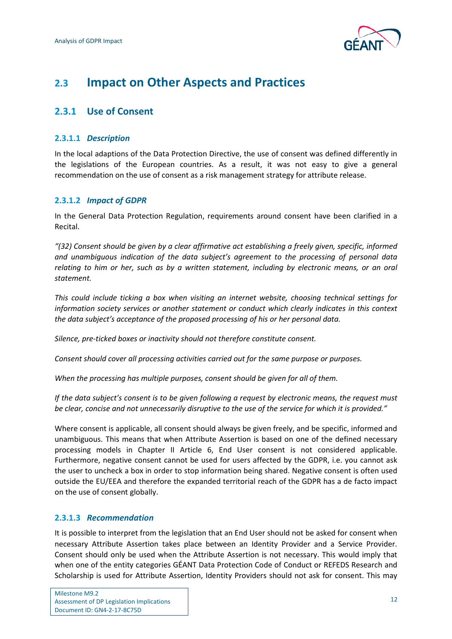

## <span id="page-13-0"></span>**2.3 Impact on Other Aspects and Practices**

## <span id="page-13-1"></span>**2.3.1 Use of Consent**

## **2.3.1.1** *Description*

In the local adaptions of the Data Protection Directive, the use of consent was defined differently in the legislations of the European countries. As a result, it was not easy to give a general recommendation on the use of consent as a risk management strategy for attribute release.

## **2.3.1.2** *Impact of GDPR*

In the General Data Protection Regulation, requirements around consent have been clarified in a Recital.

*"(32) Consent should be given by a clear affirmative act establishing a freely given, specific, informed and unambiguous indication of the data subject's agreement to the processing of personal data relating to him or her, such as by a written statement, including by electronic means, or an oral statement.*

*This could include ticking a box when visiting an internet website, choosing technical settings for information society services or another statement or conduct which clearly indicates in this context the data subject's acceptance of the proposed processing of his or her personal data.*

*Silence, pre-ticked boxes or inactivity should not therefore constitute consent.*

*Consent should cover all processing activities carried out for the same purpose or purposes.*

*When the processing has multiple purposes, consent should be given for all of them.*

*If the data subject's consent is to be given following a request by electronic means, the request must be clear, concise and not unnecessarily disruptive to the use of the service for which it is provided."*

Where consent is applicable, all consent should always be given freely, and be specific, informed and unambiguous. This means that when Attribute Assertion is based on one of the defined necessary processing models in Chapter II Article 6, End User consent is not considered applicable. Furthermore, negative consent cannot be used for users affected by the GDPR, i.e. you cannot ask the user to uncheck a box in order to stop information being shared. Negative consent is often used outside the EU/EEA and therefore the expanded territorial reach of the GDPR has a de facto impact on the use of consent globally.

## **2.3.1.3** *Recommendation*

It is possible to interpret from the legislation that an End User should not be asked for consent when necessary Attribute Assertion takes place between an Identity Provider and a Service Provider. Consent should only be used when the Attribute Assertion is not necessary. This would imply that when one of the entity categories GÉANT Data Protection Code of Conduct or REFEDS Research and Scholarship is used for Attribute Assertion, Identity Providers should not ask for consent. This may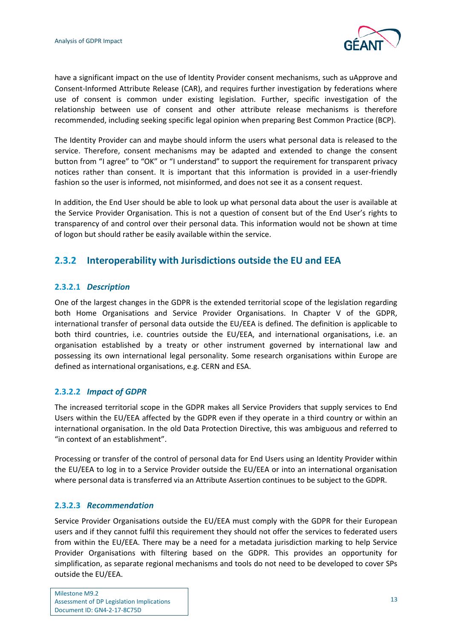

have a significant impact on the use of Identity Provider consent mechanisms, such as uApprove and Consent-Informed Attribute Release (CAR), and requires further investigation by federations where use of consent is common under existing legislation. Further, specific investigation of the relationship between use of consent and other attribute release mechanisms is therefore recommended, including seeking specific legal opinion when preparing Best Common Practice (BCP).

The Identity Provider can and maybe should inform the users what personal data is released to the service. Therefore, consent mechanisms may be adapted and extended to change the consent button from "I agree" to "OK" or "I understand" to support the requirement for transparent privacy notices rather than consent. It is important that this information is provided in a user-friendly fashion so the user is informed, not misinformed, and does not see it as a consent request.

In addition, the End User should be able to look up what personal data about the user is available at the Service Provider Organisation. This is not a question of consent but of the End User's rights to transparency of and control over their personal data. This information would not be shown at time of logon but should rather be easily available within the service.

## <span id="page-14-0"></span>**2.3.2 Interoperability with Jurisdictions outside the EU and EEA**

## **2.3.2.1** *Description*

One of the largest changes in the GDPR is the extended territorial scope of the legislation regarding both Home Organisations and Service Provider Organisations. In Chapter V of the GDPR, international transfer of personal data outside the EU/EEA is defined. The definition is applicable to both third countries, i.e. countries outside the EU/EEA, and international organisations, i.e. an organisation established by a treaty or other instrument governed by international law and possessing its own international legal personality. Some research organisations within Europe are defined as international organisations, e.g. CERN and ESA.

### **2.3.2.2** *Impact of GDPR*

The increased territorial scope in the GDPR makes all Service Providers that supply services to End Users within the EU/EEA affected by the GDPR even if they operate in a third country or within an international organisation. In the old Data Protection Directive, this was ambiguous and referred to "in context of an establishment".

Processing or transfer of the control of personal data for End Users using an Identity Provider within the EU/EEA to log in to a Service Provider outside the EU/EEA or into an international organisation where personal data is transferred via an Attribute Assertion continues to be subject to the GDPR.

### **2.3.2.3** *Recommendation*

Service Provider Organisations outside the EU/EEA must comply with the GDPR for their European users and if they cannot fulfil this requirement they should not offer the services to federated users from within the EU/EEA. There may be a need for a metadata jurisdiction marking to help Service Provider Organisations with filtering based on the GDPR. This provides an opportunity for simplification, as separate regional mechanisms and tools do not need to be developed to cover SPs outside the EU/EEA.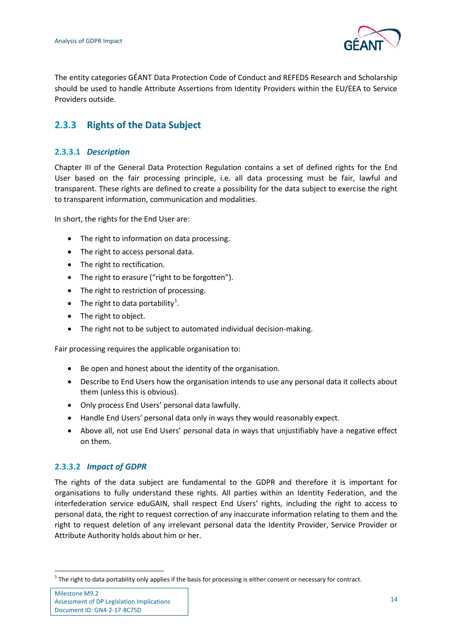

The entity categories GÉANT Data Protection Code of Conduct and REFEDS Research and Scholarship should be used to handle Attribute Assertions from Identity Providers within the EU/EEA to Service Providers outside.

## <span id="page-15-0"></span>**2.3.3 Rights of the Data Subject**

## **2.3.3.1** *Description*

Chapter III of the General Data Protection Regulation contains a set of defined rights for the End User based on the fair processing principle, i.e. all data processing must be fair, lawful and transparent. These rights are defined to create a possibility for the data subject to exercise the right to transparent information, communication and modalities.

In short, the rights for the End User are:

- The right to information on data processing.
- The right to access personal data.
- The right to rectification.
- The right to erasure ("right to be forgotten").
- The right to restriction of processing.
- The right to data portability<sup>[1](#page-15-1)</sup>.
- The right to object.
- The right not to be subject to automated individual decision-making.

Fair processing requires the applicable organisation to:

- Be open and honest about the identity of the organisation.
- Describe to End Users how the organisation intends to use any personal data it collects about them (unless this is obvious).
- Only process End Users' personal data lawfully.
- Handle End Users' personal data only in ways they would reasonably expect.
- Above all, not use End Users' personal data in ways that unjustifiably have a negative effect on them.

## **2.3.3.2** *Impact of GDPR*

The rights of the data subject are fundamental to the GDPR and therefore it is important for organisations to fully understand these rights. All parties within an Identity Federation, and the interfederation service eduGAIN, shall respect End Users' rights, including the right to access to personal data, the right to request correction of any inaccurate information relating to them and the right to request deletion of any irrelevant personal data the Identity Provider, Service Provider or Attribute Authority holds about him or her.

<span id="page-15-1"></span> $1$  The right to data portability only applies if the basis for processing is either consent or necessary for contract.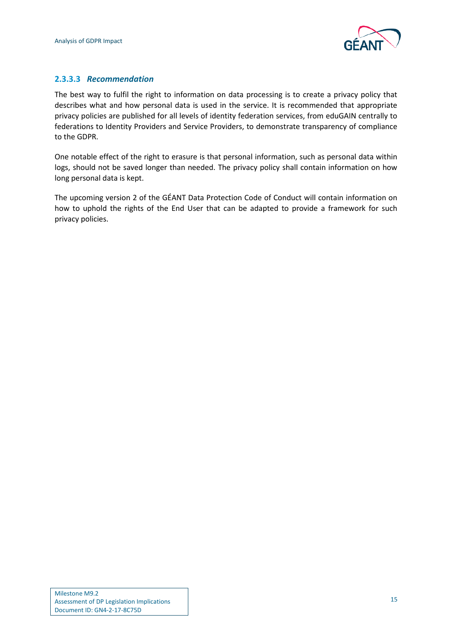

## **2.3.3.3** *Recommendation*

The best way to fulfil the right to information on data processing is to create a privacy policy that describes what and how personal data is used in the service. It is recommended that appropriate privacy policies are published for all levels of identity federation services, from eduGAIN centrally to federations to Identity Providers and Service Providers, to demonstrate transparency of compliance to the GDPR.

One notable effect of the right to erasure is that personal information, such as personal data within logs, should not be saved longer than needed. The privacy policy shall contain information on how long personal data is kept.

The upcoming version 2 of the GÉANT Data Protection Code of Conduct will contain information on how to uphold the rights of the End User that can be adapted to provide a framework for such privacy policies.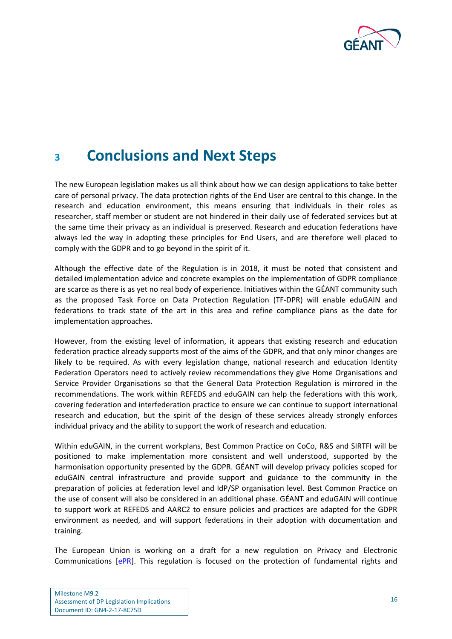

## <span id="page-17-0"></span>**<sup>3</sup> Conclusions and Next Steps**

The new European legislation makes us all think about how we can design applications to take better care of personal privacy. The data protection rights of the End User are central to this change. In the research and education environment, this means ensuring that individuals in their roles as researcher, staff member or student are not hindered in their daily use of federated services but at the same time their privacy as an individual is preserved. Research and education federations have always led the way in adopting these principles for End Users, and are therefore well placed to comply with the GDPR and to go beyond in the spirit of it.

Although the effective date of the Regulation is in 2018, it must be noted that consistent and detailed implementation advice and concrete examples on the implementation of GDPR compliance are scarce as there is as yet no real body of experience. Initiatives within the GÉANT community such as the proposed Task Force on Data Protection Regulation (TF-DPR) will enable eduGAIN and federations to track state of the art in this area and refine compliance plans as the date for implementation approaches.

However, from the existing level of information, it appears that existing research and education federation practice already supports most of the aims of the GDPR, and that only minor changes are likely to be required. As with every legislation change, national research and education Identity Federation Operators need to actively review recommendations they give Home Organisations and Service Provider Organisations so that the General Data Protection Regulation is mirrored in the recommendations. The work within REFEDS and eduGAIN can help the federations with this work, covering federation and interfederation practice to ensure we can continue to support international research and education, but the spirit of the design of these services already strongly enforces individual privacy and the ability to support the work of research and education.

Within eduGAIN, in the current workplans, Best Common Practice on CoCo, R&S and SIRTFI will be positioned to make implementation more consistent and well understood, supported by the harmonisation opportunity presented by the GDPR. GÉANT will develop privacy policies scoped for eduGAIN central infrastructure and provide support and guidance to the community in the preparation of policies at federation level and IdP/SP organisation level. Best Common Practice on the use of consent will also be considered in an additional phase. GÉANT and eduGAIN will continue to support work at REFEDS and AARC2 to ensure policies and practices are adapted for the GDPR environment as needed, and will support federations in their adoption with documentation and training.

The European Union is working on a draft for a new regulation on Privacy and Electronic Communications [\[ePR\]](#page-20-10). This regulation is focused on the protection of fundamental rights and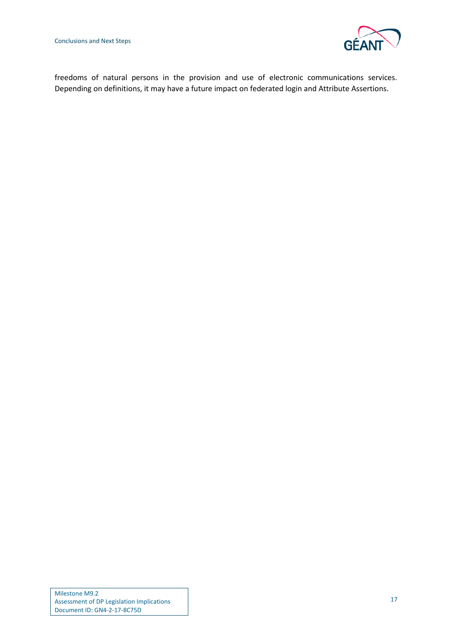

freedoms of natural persons in the provision and use of electronic communications services. Depending on definitions, it may have a future impact on federated login and Attribute Assertions.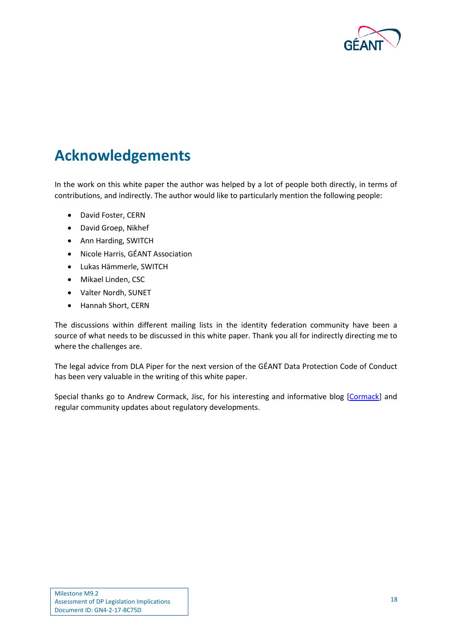

## <span id="page-19-0"></span>**Acknowledgements**

In the work on this white paper the author was helped by a lot of people both directly, in terms of contributions, and indirectly. The author would like to particularly mention the following people:

- David Foster, CERN
- David Groep, Nikhef
- Ann Harding, SWITCH
- Nicole Harris, GÉANT Association
- Lukas Hämmerle, SWITCH
- Mikael Linden, CSC
- Valter Nordh, SUNET
- Hannah Short, CERN

The discussions within different mailing lists in the identity federation community have been a source of what needs to be discussed in this white paper. Thank you all for indirectly directing me to where the challenges are.

The legal advice from DLA Piper for the next version of the GÉANT Data Protection Code of Conduct has been very valuable in the writing of this white paper.

Special thanks go to Andrew Cormack, Jisc, for his interesting and informative blog [\[Cormack\]](#page-20-11) and regular community updates about regulatory developments.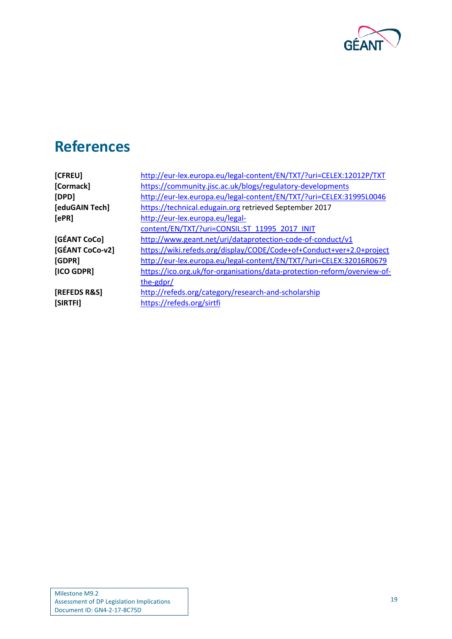

# <span id="page-20-0"></span>**References**

<span id="page-20-11"></span><span id="page-20-10"></span><span id="page-20-9"></span><span id="page-20-8"></span><span id="page-20-7"></span><span id="page-20-6"></span><span id="page-20-5"></span><span id="page-20-4"></span><span id="page-20-3"></span><span id="page-20-2"></span><span id="page-20-1"></span>

| [CFREU]         | http://eur-lex.europa.eu/legal-content/EN/TXT/?uri=CELEX:12012P/TXT      |  |
|-----------------|--------------------------------------------------------------------------|--|
| [Cormack]       | https://community.jisc.ac.uk/blogs/regulatory-developments               |  |
| [DPD]           | http://eur-lex.europa.eu/legal-content/EN/TXT/?uri=CELEX:31995L0046      |  |
| [eduGAIN Tech]  | https://technical.edugain.org retrieved September 2017                   |  |
| [ePR]           | http://eur-lex.europa.eu/legal-                                          |  |
|                 | content/EN/TXT/?uri=CONSIL:ST_11995_2017_INIT                            |  |
| [GÉANT CoCo]    | http://www.geant.net/uri/dataprotection-code-of-conduct/v1               |  |
| [GÉANT CoCo-v2] | https://wiki.refeds.org/display/CODE/Code+of+Conduct+ver+2.0+project     |  |
| [GDPR]          | http://eur-lex.europa.eu/legal-content/EN/TXT/?uri=CELEX:32016R0679      |  |
| [ICO GDPR]      | https://ico.org.uk/for-organisations/data-protection-reform/overview-of- |  |
|                 | the-gdpr/                                                                |  |
| [REFEDS R&S]    | http://refeds.org/category/research-and-scholarship                      |  |
| [SIRTFI]        | https://refeds.org/sirtfi                                                |  |
|                 |                                                                          |  |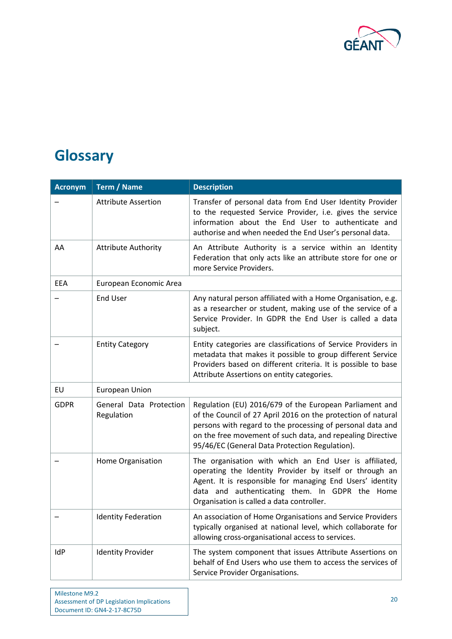

# <span id="page-21-0"></span>**Glossary**

| <b>Acronym</b> | <b>Term / Name</b>                    | <b>Description</b>                                                                                                                                                                                                                                                                                    |
|----------------|---------------------------------------|-------------------------------------------------------------------------------------------------------------------------------------------------------------------------------------------------------------------------------------------------------------------------------------------------------|
|                | <b>Attribute Assertion</b>            | Transfer of personal data from End User Identity Provider<br>to the requested Service Provider, i.e. gives the service<br>information about the End User to authenticate and<br>authorise and when needed the End User's personal data.                                                               |
| AA             | <b>Attribute Authority</b>            | An Attribute Authority is a service within an Identity<br>Federation that only acts like an attribute store for one or<br>more Service Providers.                                                                                                                                                     |
| <b>EEA</b>     | European Economic Area                |                                                                                                                                                                                                                                                                                                       |
|                | <b>End User</b>                       | Any natural person affiliated with a Home Organisation, e.g.<br>as a researcher or student, making use of the service of a<br>Service Provider. In GDPR the End User is called a data<br>subject.                                                                                                     |
|                | <b>Entity Category</b>                | Entity categories are classifications of Service Providers in<br>metadata that makes it possible to group different Service<br>Providers based on different criteria. It is possible to base<br>Attribute Assertions on entity categories.                                                            |
| EU             | European Union                        |                                                                                                                                                                                                                                                                                                       |
| <b>GDPR</b>    | General Data Protection<br>Regulation | Regulation (EU) 2016/679 of the European Parliament and<br>of the Council of 27 April 2016 on the protection of natural<br>persons with regard to the processing of personal data and<br>on the free movement of such data, and repealing Directive<br>95/46/EC (General Data Protection Regulation). |
|                | Home Organisation                     | The organisation with which an End User is affiliated,<br>operating the Identity Provider by itself or through an<br>Agent. It is responsible for managing End Users' identity<br>data and authenticating them. In GDPR the Home<br>Organisation is called a data controller.                         |
|                | <b>Identity Federation</b>            | An association of Home Organisations and Service Providers<br>typically organised at national level, which collaborate for<br>allowing cross-organisational access to services.                                                                                                                       |
| IdP            | <b>Identity Provider</b>              | The system component that issues Attribute Assertions on<br>behalf of End Users who use them to access the services of<br>Service Provider Organisations.                                                                                                                                             |